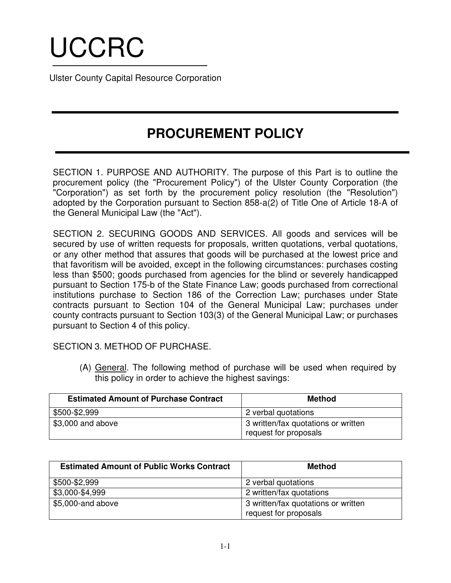# UCCRC

Ulster County Capital Resource Corporation

## **PROCUREMENT POLICY**

SECTION 1. PURPOSE AND AUTHORITY. The purpose of this Part is to outline the procurement policy (the "Procurement Policy") of the Ulster County Corporation (the "Corporation") as set forth by the procurement policy resolution (the "Resolution") adopted by the Corporation pursuant to Section 858-a(2) of Title One of Article 18-A of the General Municipal Law (the "Act").

SECTION 2. SECURING GOODS AND SERVICES. All goods and services will be secured by use of written requests for proposals, written quotations, verbal quotations, or any other method that assures that goods will be purchased at the lowest price and that favoritism will be avoided, except in the following circumstances: purchases costing less than \$500; goods purchased from agencies for the blind or severely handicapped pursuant to Section 175-b of the State Finance Law; goods purchased from correctional institutions purchase to Section 186 of the Correction Law; purchases under State contracts pursuant to Section 104 of the General Municipal Law; purchases under county contracts pursuant to Section 103(3) of the General Municipal Law; or purchases pursuant to Section 4 of this policy.

SECTION 3. METHOD OF PURCHASE.

(A) General. The following method of purchase will be used when required by this policy in order to achieve the highest savings:

| <b>Estimated Amount of Purchase Contract</b> | <b>Method</b>                                                |
|----------------------------------------------|--------------------------------------------------------------|
| \$500-\$2,999                                | 2 verbal quotations                                          |
| \$3,000 and above                            | 3 written/fax quotations or written<br>request for proposals |

| <b>Estimated Amount of Public Works Contract</b> | <b>Method</b>                                                |
|--------------------------------------------------|--------------------------------------------------------------|
| \$500-\$2,999                                    | 2 verbal quotations                                          |
| \$3,000-\$4,999                                  | 2 written/fax quotations                                     |
| \$5,000-and above                                | 3 written/fax quotations or written<br>request for proposals |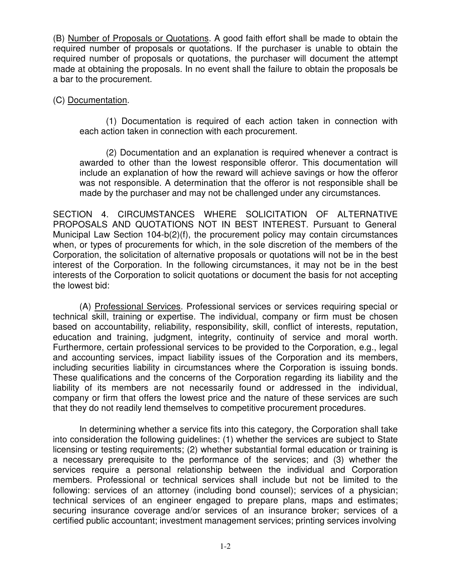(B) Number of Proposals or Quotations. A good faith effort shall be made to obtain the required number of proposals or quotations. If the purchaser is unable to obtain the required number of proposals or quotations, the purchaser will document the attempt made at obtaining the proposals. In no event shall the failure to obtain the proposals be a bar to the procurement.

### (C) Documentation.

(1) Documentation is required of each action taken in connection with each action taken in connection with each procurement.

(2) Documentation and an explanation is required whenever a contract is awarded to other than the lowest responsible offeror. This documentation will include an explanation of how the reward will achieve savings or how the offeror was not responsible. A determination that the offeror is not responsible shall be made by the purchaser and may not be challenged under any circumstances.

SECTION 4. CIRCUMSTANCES WHERE SOLICITATION OF ALTERNATIVE PROPOSALS AND QUOTATIONS NOT IN BEST INTEREST. Pursuant to General Municipal Law Section 104-b(2)(f), the procurement policy may contain circumstances when, or types of procurements for which, in the sole discretion of the members of the Corporation, the solicitation of alternative proposals or quotations will not be in the best interest of the Corporation. In the following circumstances, it may not be in the best interests of the Corporation to solicit quotations or document the basis for not accepting the lowest bid:

(A) Professional Services. Professional services or services requiring special or technical skill, training or expertise. The individual, company or firm must be chosen based on accountability, reliability, responsibility, skill, conflict of interests, reputation, education and training, judgment, integrity, continuity of service and moral worth. Furthermore, certain professional services to be provided to the Corporation, e.g., legal and accounting services, impact liability issues of the Corporation and its members, including securities liability in circumstances where the Corporation is issuing bonds. These qualifications and the concerns of the Corporation regarding its liability and the liability of its members are not necessarily found or addressed in the individual, company or firm that offers the lowest price and the nature of these services are such that they do not readily lend themselves to competitive procurement procedures.

In determining whether a service fits into this category, the Corporation shall take into consideration the following guidelines: (1) whether the services are subject to State licensing or testing requirements; (2) whether substantial formal education or training is a necessary prerequisite to the performance of the services; and (3) whether the services require a personal relationship between the individual and Corporation members. Professional or technical services shall include but not be limited to the following: services of an attorney (including bond counsel); services of a physician; technical services of an engineer engaged to prepare plans, maps and estimates; securing insurance coverage and/or services of an insurance broker; services of a certified public accountant; investment management services; printing services involving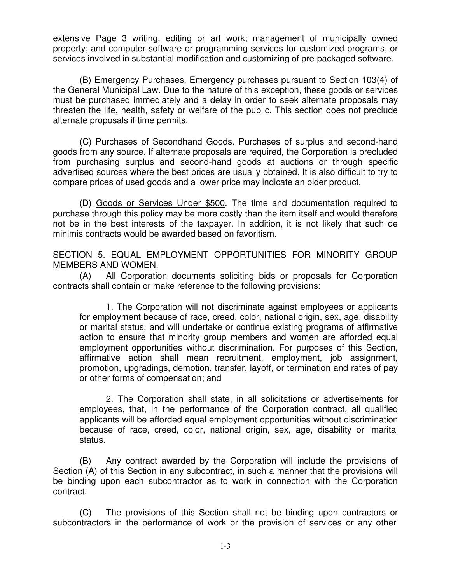extensive Page 3 writing, editing or art work; management of municipally owned property; and computer software or programming services for customized programs, or services involved in substantial modification and customizing of pre-packaged software.

(B) Emergency Purchases. Emergency purchases pursuant to Section 103(4) of the General Municipal Law. Due to the nature of this exception, these goods or services must be purchased immediately and a delay in order to seek alternate proposals may threaten the life, health, safety or welfare of the public. This section does not preclude alternate proposals if time permits.

(C) Purchases of Secondhand Goods. Purchases of surplus and second-hand goods from any source. If alternate proposals are required, the Corporation is precluded from purchasing surplus and second-hand goods at auctions or through specific advertised sources where the best prices are usually obtained. It is also difficult to try to compare prices of used goods and a lower price may indicate an older product.

(D) Goods or Services Under \$500. The time and documentation required to purchase through this policy may be more costly than the item itself and would therefore not be in the best interests of the taxpayer. In addition, it is not likely that such de minimis contracts would be awarded based on favoritism.

SECTION 5. EQUAL EMPLOYMENT OPPORTUNITIES FOR MINORITY GROUP MEMBERS AND WOMEN.

(A) All Corporation documents soliciting bids or proposals for Corporation contracts shall contain or make reference to the following provisions:

1. The Corporation will not discriminate against employees or applicants for employment because of race, creed, color, national origin, sex, age, disability or marital status, and will undertake or continue existing programs of affirmative action to ensure that minority group members and women are afforded equal employment opportunities without discrimination. For purposes of this Section, affirmative action shall mean recruitment, employment, job assignment, promotion, upgradings, demotion, transfer, layoff, or termination and rates of pay or other forms of compensation; and

2. The Corporation shall state, in all solicitations or advertisements for employees, that, in the performance of the Corporation contract, all qualified applicants will be afforded equal employment opportunities without discrimination because of race, creed, color, national origin, sex, age, disability or marital status.

(B) Any contract awarded by the Corporation will include the provisions of Section (A) of this Section in any subcontract, in such a manner that the provisions will be binding upon each subcontractor as to work in connection with the Corporation contract.

(C) The provisions of this Section shall not be binding upon contractors or subcontractors in the performance of work or the provision of services or any other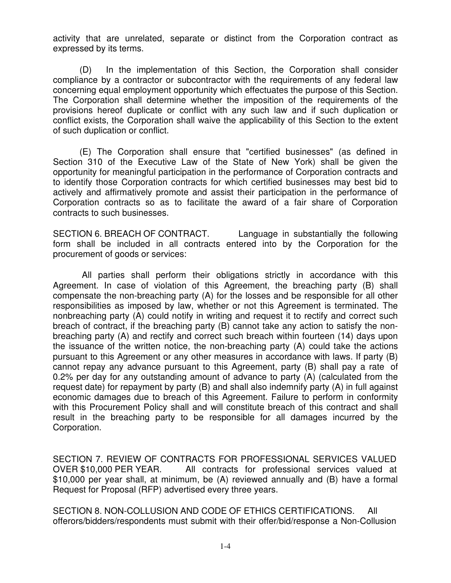activity that are unrelated, separate or distinct from the Corporation contract as expressed by its terms.

(D) In the implementation of this Section, the Corporation shall consider compliance by a contractor or subcontractor with the requirements of any federal law concerning equal employment opportunity which effectuates the purpose of this Section. The Corporation shall determine whether the imposition of the requirements of the provisions hereof duplicate or conflict with any such law and if such duplication or conflict exists, the Corporation shall waive the applicability of this Section to the extent of such duplication or conflict.

(E) The Corporation shall ensure that "certified businesses" (as defined in Section 310 of the Executive Law of the State of New York) shall be given the opportunity for meaningful participation in the performance of Corporation contracts and to identify those Corporation contracts for which certified businesses may best bid to actively and affirmatively promote and assist their participation in the performance of Corporation contracts so as to facilitate the award of a fair share of Corporation contracts to such businesses.

SECTION 6. BREACH OF CONTRACT. Language in substantially the following form shall be included in all contracts entered into by the Corporation for the procurement of goods or services:

All parties shall perform their obligations strictly in accordance with this Agreement. In case of violation of this Agreement, the breaching party (B) shall compensate the non-breaching party (A) for the losses and be responsible for all other responsibilities as imposed by law, whether or not this Agreement is terminated. The nonbreaching party (A) could notify in writing and request it to rectify and correct such breach of contract, if the breaching party (B) cannot take any action to satisfy the nonbreaching party (A) and rectify and correct such breach within fourteen (14) days upon the issuance of the written notice, the non-breaching party (A) could take the actions pursuant to this Agreement or any other measures in accordance with laws. If party (B) cannot repay any advance pursuant to this Agreement, party (B) shall pay a rate of 0.2% per day for any outstanding amount of advance to party (A) (calculated from the request date) for repayment by party (B) and shall also indemnify party (A) in full against economic damages due to breach of this Agreement. Failure to perform in conformity with this Procurement Policy shall and will constitute breach of this contract and shall result in the breaching party to be responsible for all damages incurred by the Corporation.

SECTION 7. REVIEW OF CONTRACTS FOR PROFESSIONAL SERVICES VALUED OVER \$10,000 PER YEAR. All contracts for professional services valued at \$10,000 per year shall, at minimum, be (A) reviewed annually and (B) have a formal Request for Proposal (RFP) advertised every three years.

SECTION 8. NON-COLLUSION AND CODE OF ETHICS CERTIFICATIONS. All offerors/bidders/respondents must submit with their offer/bid/response a Non-Collusion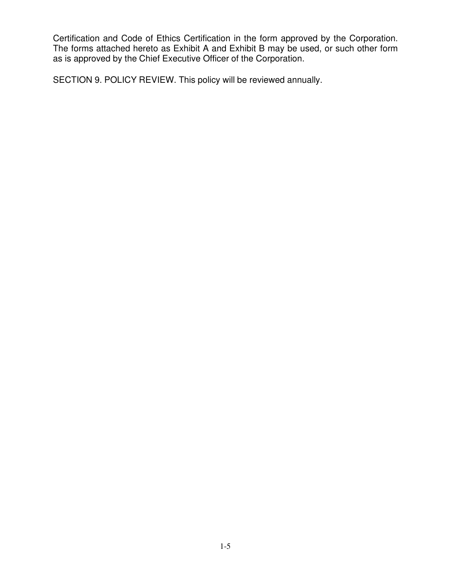Certification and Code of Ethics Certification in the form approved by the Corporation. The forms attached hereto as Exhibit A and Exhibit B may be used, or such other form as is approved by the Chief Executive Officer of the Corporation.

SECTION 9. POLICY REVIEW. This policy will be reviewed annually.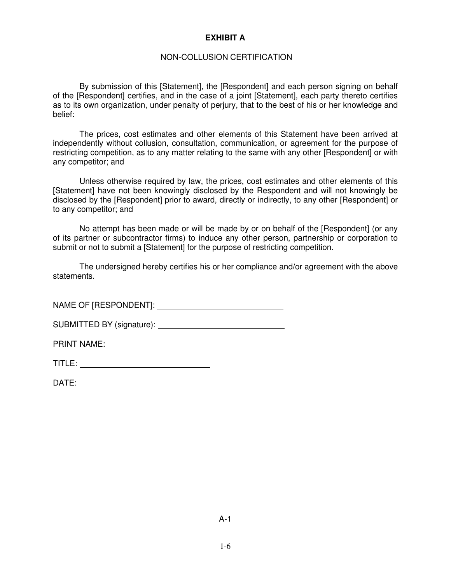#### **EXHIBIT A**

#### NON-COLLUSION CERTIFICATION

By submission of this [Statement], the [Respondent] and each person signing on behalf of the [Respondent] certifies, and in the case of a joint [Statement], each party thereto certifies as to its own organization, under penalty of perjury, that to the best of his or her knowledge and belief:

The prices, cost estimates and other elements of this Statement have been arrived at independently without collusion, consultation, communication, or agreement for the purpose of restricting competition, as to any matter relating to the same with any other [Respondent] or with any competitor; and

Unless otherwise required by law, the prices, cost estimates and other elements of this [Statement] have not been knowingly disclosed by the Respondent and will not knowingly be disclosed by the [Respondent] prior to award, directly or indirectly, to any other [Respondent] or to any competitor; and

No attempt has been made or will be made by or on behalf of the [Respondent] (or any of its partner or subcontractor firms) to induce any other person, partnership or corporation to submit or not to submit a [Statement] for the purpose of restricting competition.

The undersigned hereby certifies his or her compliance and/or agreement with the above statements.

NAME OF [RESPONDENT]:

SUBMITTED BY (signature):

PRINT NAME:

| ᅮ<br>ш<br>. . |  |
|---------------|--|
|               |  |

| ∽<br>┕<br>. . |  |
|---------------|--|
|               |  |
|               |  |

A-1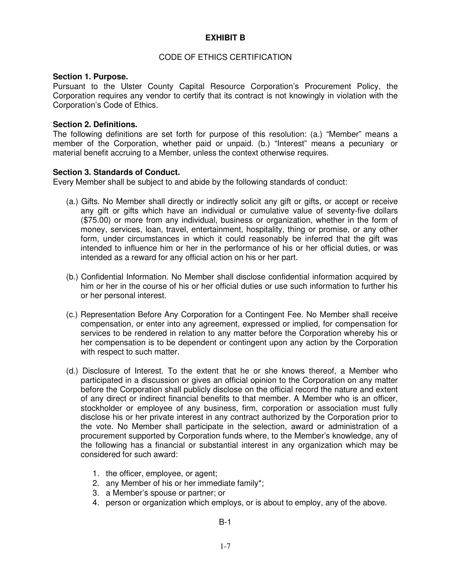#### **EXHIBIT B**

#### CODE OF ETHICS CERTIFICATION

#### **Section 1. Purpose.**

Pursuant to the Ulster County Capital Resource Corporation's Procurement Policy, the Corporation requires any vendor to certify that its contract is not knowingly in violation with the Corporation's Code of Ethics.

#### **Section 2. Definitions.**

The following definitions are set forth for purpose of this resolution: (a.) "Member" means a member of the Corporation, whether paid or unpaid. (b.) "Interest" means a pecuniary or material benefit accruing to a Member, unless the context otherwise requires.

#### **Section 3. Standards of Conduct.**

Every Member shall be subject to and abide by the following standards of conduct:

- (a.) Gifts. No Member shall directly or indirectly solicit any gift or gifts, or accept or receive any gift or gifts which have an individual or cumulative value of seventy-five dollars (\$75.00) or more from any individual, business or organization, whether in the form of money, services, loan, travel, entertainment, hospitality, thing or promise, or any other form, under circumstances in which it could reasonably be inferred that the gift was intended to influence him or her in the performance of his or her official duties, or was intended as a reward for any official action on his or her part.
- (b.) Confidential Information. No Member shall disclose confidential information acquired by him or her in the course of his or her official duties or use such information to further his or her personal interest.
- (c.) Representation Before Any Corporation for a Contingent Fee. No Member shall receive compensation, or enter into any agreement, expressed or implied, for compensation for services to be rendered in relation to any matter before the Corporation whereby his or her compensation is to be dependent or contingent upon any action by the Corporation with respect to such matter.
- (d.) Disclosure of Interest. To the extent that he or she knows thereof, a Member who participated in a discussion or gives an official opinion to the Corporation on any matter before the Corporation shall publicly disclose on the official record the nature and extent of any direct or indirect financial benefits to that member. A Member who is an officer, stockholder or employee of any business, firm, corporation or association must fully disclose his or her private interest in any contract authorized by the Corporation prior to the vote. No Member shall participate in the selection, award or administration of a procurement supported by Corporation funds where, to the Member's knowledge, any of the following has a financial or substantial interest in any organization which may be considered for such award:
	- 1. the officer, employee, or agent;
	- 2. any Member of his or her immediate family\*;
	- 3. a Member's spouse or partner; or
	- 4. person or organization which employs, or is about to employ, any of the above.